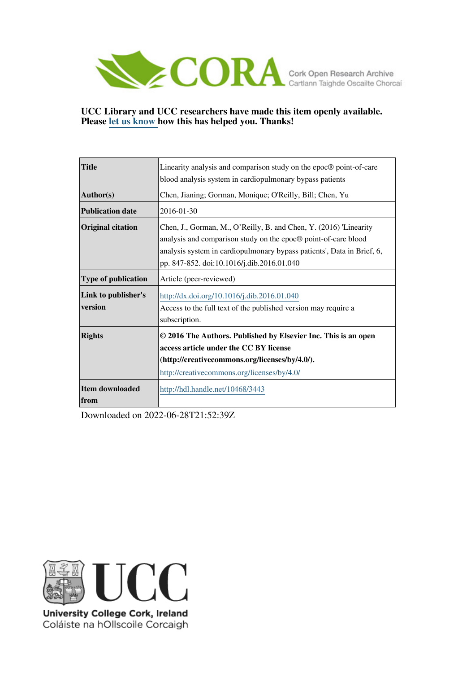

## **UCC Library and UCC researchers have made this item openly available. Please [let us know h](https://libguides.ucc.ie/openaccess/impact?suffix=3443&title=Linearity analysis and comparison study on the epoc� point-of-care blood analysis system in cardiopulmonary bypass patients)ow this has helped you. Thanks!**

| <b>Title</b>                   | Linearity analysis and comparison study on the epoc® point-of-care                                                                                                                                                                                          |
|--------------------------------|-------------------------------------------------------------------------------------------------------------------------------------------------------------------------------------------------------------------------------------------------------------|
|                                | blood analysis system in cardiopulmonary bypass patients                                                                                                                                                                                                    |
| Author(s)                      | Chen, Jianing; Gorman, Monique; O'Reilly, Bill; Chen, Yu                                                                                                                                                                                                    |
| <b>Publication date</b>        | 2016-01-30                                                                                                                                                                                                                                                  |
| <b>Original citation</b>       | Chen, J., Gorman, M., O'Reilly, B. and Chen, Y. (2016) 'Linearity<br>analysis and comparison study on the epoc® point-of-care blood<br>analysis system in cardiopulmonary bypass patients', Data in Brief, 6,<br>pp. 847-852. doi:10.1016/j.dib.2016.01.040 |
| <b>Type of publication</b>     | Article (peer-reviewed)                                                                                                                                                                                                                                     |
| Link to publisher's<br>version | http://dx.doi.org/10.1016/j.dib.2016.01.040<br>Access to the full text of the published version may require a<br>subscription.                                                                                                                              |
| <b>Rights</b>                  | © 2016 The Authors. Published by Elsevier Inc. This is an open<br>access article under the CC BY license<br>(http://creativecommons.org/licenses/by/4.0/).<br>http://creativecommons.org/licenses/by/4.0/                                                   |
| Item downloaded<br><b>from</b> | http://hdl.handle.net/10468/3443                                                                                                                                                                                                                            |

Downloaded on 2022-06-28T21:52:39Z



University College Cork, Ireland Coláiste na hOllscoile Corcaigh